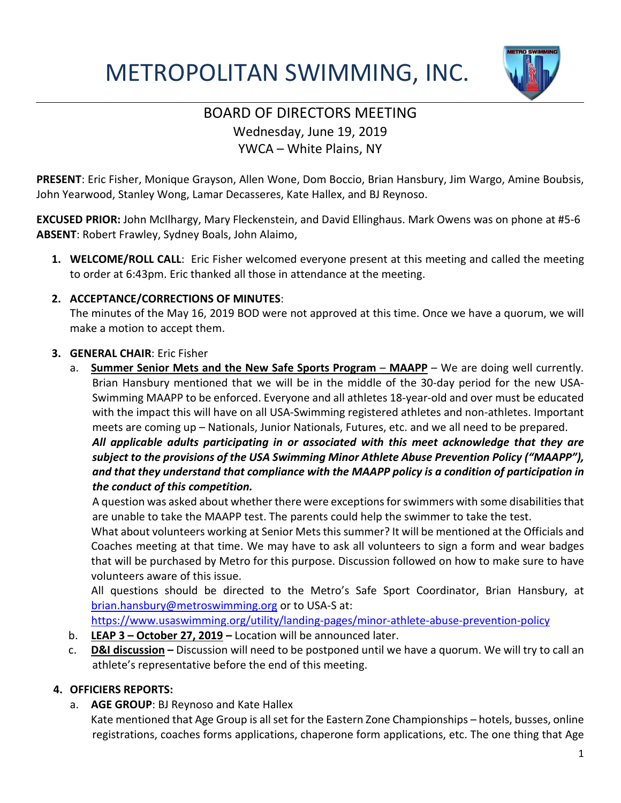# METROPOLITAN SWIMMING, INC.



### BOARD OF DIRECTORS MEETING Wednesday, June 19, 2019 YWCA – White Plains, NY

**PRESENT**: Eric Fisher, Monique Grayson, Allen Wone, Dom Boccio, Brian Hansbury, Jim Wargo, Amine Boubsis, John Yearwood, Stanley Wong, Lamar Decasseres, Kate Hallex, and BJ Reynoso.

**EXCUSED PRIOR:** John McIlhargy, Mary Fleckenstein, and David Ellinghaus. Mark Owens was on phone at #5-6 **ABSENT**: Robert Frawley, Sydney Boals, John Alaimo,

**1. WELCOME/ROLL CALL**: Eric Fisher welcomed everyone present at this meeting and called the meeting to order at 6:43pm. Eric thanked all those in attendance at the meeting.

### **2. ACCEPTANCE/CORRECTIONS OF MINUTES**:

The minutes of the May 16, 2019 BOD were not approved at this time. Once we have a quorum, we will make a motion to accept them.

### **3. GENERAL CHAIR**: Eric Fisher

a. **Summer Senior Mets and the New Safe Sports Program - MAAPP** - We are doing well currently. Brian Hansbury mentioned that we will be in the middle of the 30-day period for the new USA-Swimming MAAPP to be enforced. Everyone and all athletes 18-year-old and over must be educated with the impact this will have on all USA-Swimming registered athletes and non-athletes. Important meets are coming up – Nationals, Junior Nationals, Futures, etc. and we all need to be prepared.

*All applicable adults participating in or associated with this meet acknowledge that they are subject to the provisions of the USA Swimming Minor Athlete Abuse Prevention Policy ("MAAPP"), and that they understand that compliance with the MAAPP policy is a condition of participation in the conduct of this competition.*

A question was asked about whether there were exceptions for swimmers with some disabilities that are unable to take the MAAPP test. The parents could help the swimmer to take the test.

What about volunteers working at Senior Mets this summer? It will be mentioned at the Officials and Coaches meeting at that time. We may have to ask all volunteers to sign a form and wear badges that will be purchased by Metro for this purpose. Discussion followed on how to make sure to have volunteers aware of this issue.

All questions should be directed to the Metro's Safe Sport Coordinator, Brian Hansbury, at [brian.hansbury@metroswimming.org](mailto:brian.hansbury@metroswimming.org) or to USA-S at:

<https://www.usaswimming.org/utility/landing-pages/minor-athlete-abuse-prevention-policy>

- b. **LEAP 3 – October 27, 2019 –** Location will be announced later.
- c. **D&I discussion –** Discussion will need to be postponed until we have a quorum. We will try to call an athlete's representative before the end of this meeting.

### **4. OFFICIERS REPORTS:**

a. **AGE GROUP**: BJ Reynoso and Kate Hallex

Kate mentioned that Age Group is all set for the Eastern Zone Championships – hotels, busses, online registrations, coaches forms applications, chaperone form applications, etc. The one thing that Age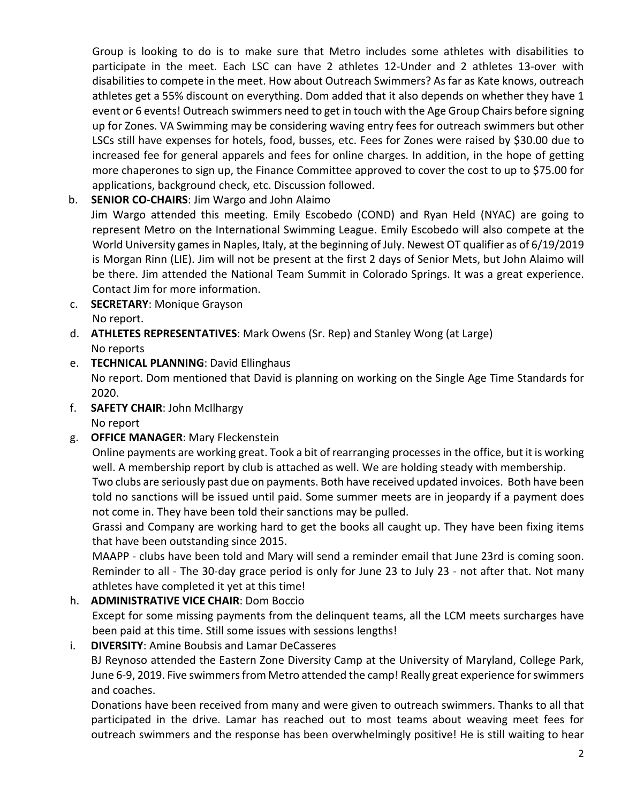Group is looking to do is to make sure that Metro includes some athletes with disabilities to participate in the meet. Each LSC can have 2 athletes 12-Under and 2 athletes 13-over with disabilities to compete in the meet. How about Outreach Swimmers? As far as Kate knows, outreach athletes get a 55% discount on everything. Dom added that it also depends on whether they have 1 event or 6 events! Outreach swimmers need to get in touch with the Age Group Chairs before signing up for Zones. VA Swimming may be considering waving entry fees for outreach swimmers but other LSCs still have expenses for hotels, food, busses, etc. Fees for Zones were raised by \$30.00 due to increased fee for general apparels and fees for online charges. In addition, in the hope of getting more chaperones to sign up, the Finance Committee approved to cover the cost to up to \$75.00 for applications, background check, etc. Discussion followed.

b. **SENIOR CO-CHAIRS**: Jim Wargo and John Alaimo

Jim Wargo attended this meeting. Emily Escobedo (COND) and Ryan Held (NYAC) are going to represent Metro on the International Swimming League. Emily Escobedo will also compete at the World University games in Naples, Italy, at the beginning of July. Newest OT qualifier as of 6/19/2019 is Morgan Rinn (LIE). Jim will not be present at the first 2 days of Senior Mets, but John Alaimo will be there. Jim attended the National Team Summit in Colorado Springs. It was a great experience. Contact Jim for more information.

- c. **SECRETARY**: Monique Grayson No report.
- d. **ATHLETES REPRESENTATIVES**: Mark Owens (Sr. Rep) and Stanley Wong (at Large) No reports
- e. **TECHNICAL PLANNING**: David Ellinghaus

No report. Dom mentioned that David is planning on working on the Single Age Time Standards for 2020.

- f. **SAFETY CHAIR**: John McIlhargy No report
- g. **OFFICE MANAGER**: Mary Fleckenstein

Online payments are working great. Took a bit of rearranging processes in the office, but it is working well. A membership report by club is attached as well. We are holding steady with membership. Two clubs are seriously past due on payments. Both have received updated invoices. Both have been

told no sanctions will be issued until paid. Some summer meets are in jeopardy if a payment does not come in. They have been told their sanctions may be pulled.

Grassi and Company are working hard to get the books all caught up. They have been fixing items that have been outstanding since 2015.

MAAPP - clubs have been told and Mary will send a reminder email that June 23rd is coming soon. Reminder to all - The 30-day grace period is only for June 23 to July 23 - not after that. Not many athletes have completed it yet at this time!

### h. **ADMINISTRATIVE VICE CHAIR**: Dom Boccio

Except for some missing payments from the delinquent teams, all the LCM meets surcharges have been paid at this time. Still some issues with sessions lengths!

### i. **DIVERSITY**: Amine Boubsis and Lamar DeCasseres

BJ Reynoso attended the Eastern Zone Diversity Camp at the University of Maryland, College Park, June 6-9, 2019. Five swimmers from Metro attended the camp! Really great experience for swimmers and coaches.

Donations have been received from many and were given to outreach swimmers. Thanks to all that participated in the drive. Lamar has reached out to most teams about weaving meet fees for outreach swimmers and the response has been overwhelmingly positive! He is still waiting to hear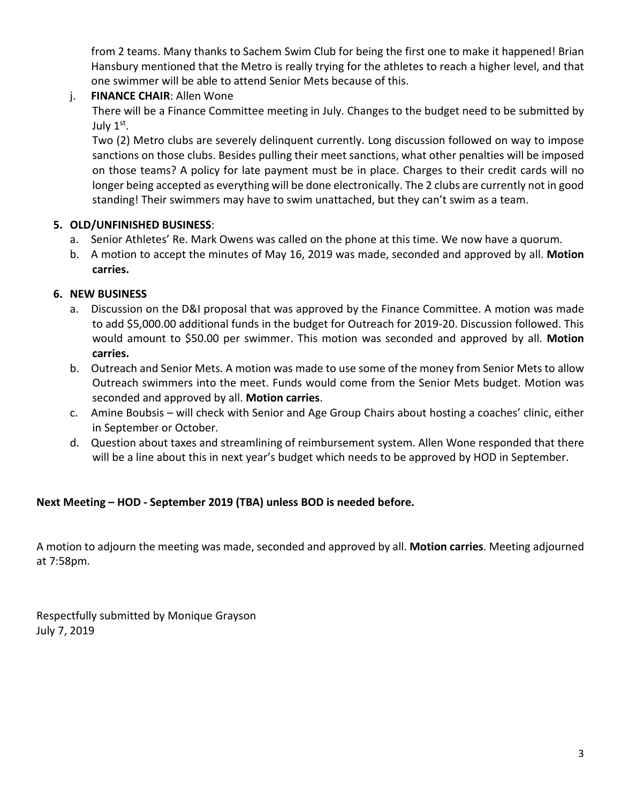from 2 teams. Many thanks to Sachem Swim Club for being the first one to make it happened! Brian Hansbury mentioned that the Metro is really trying for the athletes to reach a higher level, and that one swimmer will be able to attend Senior Mets because of this.

### j. **FINANCE CHAIR**: Allen Wone

There will be a Finance Committee meeting in July. Changes to the budget need to be submitted by July  $1<sup>st</sup>$ .

Two (2) Metro clubs are severely delinquent currently. Long discussion followed on way to impose sanctions on those clubs. Besides pulling their meet sanctions, what other penalties will be imposed on those teams? A policy for late payment must be in place. Charges to their credit cards will no longer being accepted as everything will be done electronically. The 2 clubs are currently not in good standing! Their swimmers may have to swim unattached, but they can't swim as a team.

### **5. OLD/UNFINISHED BUSINESS**:

- a. Senior Athletes' Re. Mark Owens was called on the phone at this time. We now have a quorum.
- b. A motion to accept the minutes of May 16, 2019 was made, seconded and approved by all. **Motion carries.**

### **6. NEW BUSINESS**

- a. Discussion on the D&I proposal that was approved by the Finance Committee. A motion was made to add \$5,000.00 additional funds in the budget for Outreach for 2019-20. Discussion followed. This would amount to \$50.00 per swimmer. This motion was seconded and approved by all. **Motion carries.**
- b. Outreach and Senior Mets. A motion was made to use some of the money from Senior Mets to allow Outreach swimmers into the meet. Funds would come from the Senior Mets budget. Motion was seconded and approved by all. **Motion carries**.
- c. Amine Boubsis will check with Senior and Age Group Chairs about hosting a coaches' clinic, either in September or October.
- d. Question about taxes and streamlining of reimbursement system. Allen Wone responded that there will be a line about this in next year's budget which needs to be approved by HOD in September.

### **Next Meeting – HOD - September 2019 (TBA) unless BOD is needed before.**

A motion to adjourn the meeting was made, seconded and approved by all. **Motion carries**. Meeting adjourned at 7:58pm.

Respectfully submitted by Monique Grayson July 7, 2019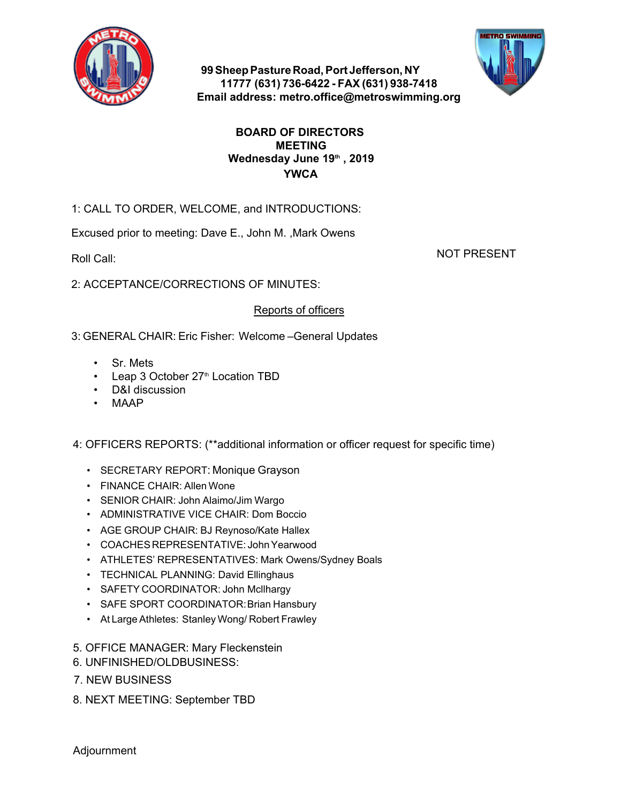

**99 Sheep Pasture Road, Port Jefferson, NY 11777 (631) 736-6422 - FAX (631) 938-7418 Email address: metro.office@metroswimming.org**



### **BOARD OF DIRECTORS MEETING Wednesday June 19th , 2019 YWCA**

1: CALL TO ORDER, WELCOME, and INTRODUCTIONS:

Excused prior to meeting: Dave E., John M. ,Mark Owens

Roll Call:

NOT PRESENT

2: ACCEPTANCE/CORRECTIONS OF MINUTES:

### Reports of officers

3: GENERAL CHAIR: Eric Fisher: Welcome –General Updates

- Sr. Mets
- $\cdot$  Leap 3 October 27<sup>th</sup> Location TBD
- D&I discussion
- MAAP

4: OFFICERS REPORTS: (\*\*additional information or officer request for specific time) France CHAIR: Eric Fisher: Welcome --General Updates<br>• Sr. Mets<br>• Leap 3 October 27<sup>th</sup> Location TBD<br>• D&I discussion<br>• MAAP<br>OFFICERS REPORTS: (\*\*additional information or officer request for<br>• SECRETARY REPORT: Monique Gr FRAL CHAIR: Eric Fisher: Welcome --General L<br>
• Sr. Mets<br>
• Leap 3 October 27<sup>th</sup> Location TBD<br>
• D&I discussion<br>
• MAAP<br>
OFFICERS REPORTS: (\*\*additional information or or<br>
• SECRETARY REPORT: Monique Grayson<br>
• FINANCE CH

- 
- 
- SENIOR CHAIR: John Alaimo/Jim Wargo
- ADMINISTRATIVE VICE CHAIR: Dom Boccio
- AGE GROUP CHAIR: BJ Reynoso/Kate Hallex
- COACHES REPRESENTATIVE: John Yearwood
- ATHLETES' REPRESENTATIVES: Mark Owens/Sydney Boals
- TECHNICAL PLANNING: David Ellinghaus
- SAFETY COORDINATOR: John Mcllhargy
- SAFE SPORT COORDINATOR: Brian Hansbury
- At Large Athletes: Stanley Wong/ Robert Frawley
- 5. OFFICE MANAGER: Mary Fleckenstein
- 6. UNFINISHED/OLDBUSINESS:
- 7. NEW BUSINESS
- 8. NEXT MEETING: September TBD

Adjournment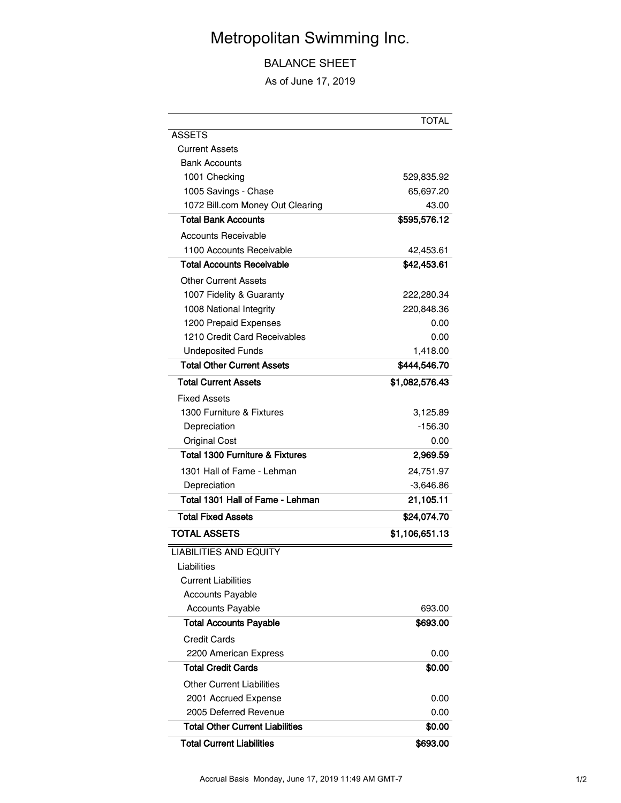# Metropolitan Swimming Inc.

BALANCE SHEET

As of June 17, 2019

|                                            | <b>TOTAL</b>   |
|--------------------------------------------|----------------|
| ASSETS                                     |                |
| <b>Current Assets</b>                      |                |
| <b>Bank Accounts</b>                       |                |
| 1001 Checking                              | 529,835.92     |
| 1005 Savings - Chase                       | 65,697.20      |
| 1072 Bill.com Money Out Clearing           | 43.00          |
| <b>Total Bank Accounts</b>                 | \$595,576.12   |
| <b>Accounts Receivable</b>                 |                |
| 1100 Accounts Receivable                   | 42,453.61      |
| <b>Total Accounts Receivable</b>           | \$42,453.61    |
| Other Current Assets                       |                |
| 1007 Fidelity & Guaranty                   | 222,280.34     |
| 1008 National Integrity                    | 220,848.36     |
| 1200 Prepaid Expenses                      | 0.00           |
| 1210 Credit Card Receivables               | 0.00           |
| <b>Undeposited Funds</b>                   | 1,418.00       |
| <b>Total Other Current Assets</b>          | \$444,546.70   |
| <b>Total Current Assets</b>                | \$1,082,576.43 |
| <b>Fixed Assets</b>                        |                |
| 1300 Furniture & Fixtures                  | 3,125.89       |
| Depreciation                               | -156.30        |
| <b>Original Cost</b>                       | 0.00           |
| <b>Total 1300 Furniture &amp; Fixtures</b> | 2,969.59       |
| 1301 Hall of Fame - Lehman                 | 24,751.97      |
| Depreciation                               | $-3,646.86$    |
| Total 1301 Hall of Fame - Lehman           | 21,105.11      |
| <b>Total Fixed Assets</b>                  | \$24,074.70    |
| <b>TOTAL ASSETS</b>                        | \$1,106,651.13 |
| <b>LIABILITIES AND EQUITY</b>              |                |
| Liabilities                                |                |
| <b>Current Liabilities</b>                 |                |
| <b>Accounts Payable</b>                    |                |
| <b>Accounts Payable</b>                    | 693.00         |
| <b>Total Accounts Payable</b>              | \$693.00       |
| <b>Credit Cards</b>                        |                |
| 2200 American Express                      | 0.00           |
| <b>Total Credit Cards</b>                  | \$0.00         |
| <b>Other Current Liabilities</b>           |                |
| 2001 Accrued Expense                       | 0.00           |
| 2005 Deferred Revenue                      | 0.00           |
| <b>Total Other Current Liabilities</b>     | \$0.00         |
| <b>Total Current Liabilities</b>           | \$693.00       |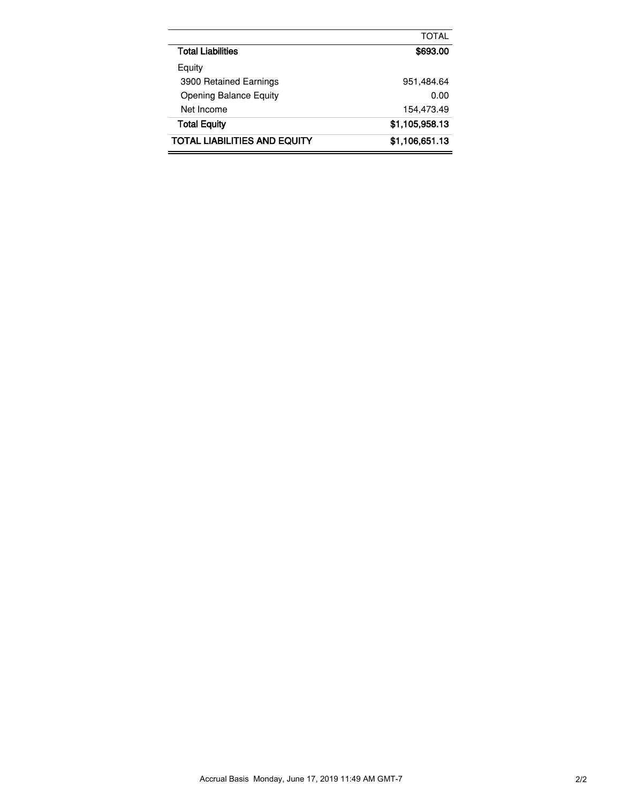|                               | TOTAL          |
|-------------------------------|----------------|
| Total Liabilities             | \$693.00       |
| Equity                        |                |
| 3900 Retained Earnings        | 951,484.64     |
| <b>Opening Balance Equity</b> | 0.00           |
| Net Income                    | 154,473.49     |
| <b>Total Equity</b>           | \$1,105,958.13 |
| TOTAL LIABILITIES AND EQUITY  | \$1,106,651.13 |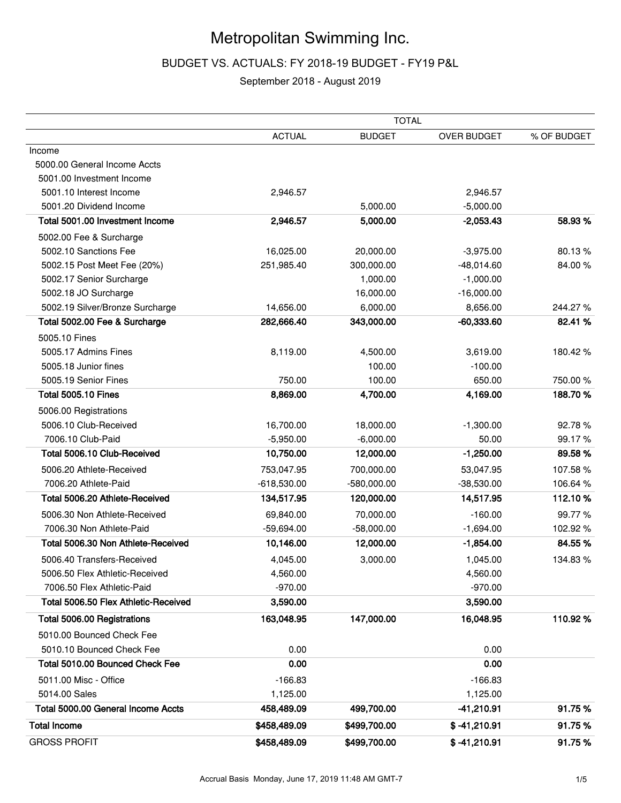### Metropolitan Swimming Inc.

### BUDGET VS. ACTUALS: FY 2018-19 BUDGET - FY19 P&L

### September 2018 - August 2019

|                                      | <b>TOTAL</b>  |               |                    |             |  |  |
|--------------------------------------|---------------|---------------|--------------------|-------------|--|--|
|                                      | <b>ACTUAL</b> | <b>BUDGET</b> | <b>OVER BUDGET</b> | % OF BUDGET |  |  |
| Income                               |               |               |                    |             |  |  |
| 5000.00 General Income Accts         |               |               |                    |             |  |  |
| 5001.00 Investment Income            |               |               |                    |             |  |  |
| 5001.10 Interest Income              | 2,946.57      |               | 2,946.57           |             |  |  |
| 5001.20 Dividend Income              |               | 5,000.00      | $-5,000.00$        |             |  |  |
| Total 5001.00 Investment Income      | 2,946.57      | 5,000.00      | $-2,053.43$        | 58.93 %     |  |  |
| 5002.00 Fee & Surcharge              |               |               |                    |             |  |  |
| 5002.10 Sanctions Fee                | 16,025.00     | 20,000.00     | $-3,975.00$        | 80.13%      |  |  |
| 5002.15 Post Meet Fee (20%)          | 251,985.40    | 300,000.00    | $-48,014.60$       | 84.00%      |  |  |
| 5002.17 Senior Surcharge             |               | 1,000.00      | $-1,000.00$        |             |  |  |
| 5002.18 JO Surcharge                 |               | 16,000.00     | $-16,000.00$       |             |  |  |
| 5002.19 Silver/Bronze Surcharge      | 14,656.00     | 6,000.00      | 8,656.00           | 244.27%     |  |  |
| Total 5002.00 Fee & Surcharge        | 282,666.40    | 343,000.00    | $-60,333.60$       | 82.41%      |  |  |
| 5005.10 Fines                        |               |               |                    |             |  |  |
| 5005.17 Admins Fines                 | 8,119.00      | 4,500.00      | 3,619.00           | 180.42%     |  |  |
| 5005.18 Junior fines                 |               | 100.00        | $-100.00$          |             |  |  |
| 5005.19 Senior Fines                 | 750.00        | 100.00        | 650.00             | 750.00%     |  |  |
| <b>Total 5005.10 Fines</b>           | 8,869.00      | 4,700.00      | 4,169.00           | 188.70%     |  |  |
| 5006.00 Registrations                |               |               |                    |             |  |  |
| 5006.10 Club-Received                | 16,700.00     | 18,000.00     | $-1,300.00$        | 92.78%      |  |  |
| 7006.10 Club-Paid                    | $-5,950.00$   | $-6,000.00$   | 50.00              | 99.17%      |  |  |
| Total 5006.10 Club-Received          | 10,750.00     | 12,000.00     | $-1,250.00$        | 89.58%      |  |  |
| 5006.20 Athlete-Received             | 753,047.95    | 700,000.00    | 53,047.95          | 107.58%     |  |  |
| 7006.20 Athlete-Paid                 | $-618,530.00$ | $-580,000.00$ | $-38,530.00$       | 106.64%     |  |  |
| Total 5006.20 Athlete-Received       | 134,517.95    | 120,000.00    | 14,517.95          | 112.10%     |  |  |
| 5006.30 Non Athlete-Received         | 69,840.00     | 70,000.00     | $-160.00$          | 99.77%      |  |  |
| 7006.30 Non Athlete-Paid             | $-59,694.00$  | $-58,000.00$  | $-1,694.00$        | 102.92%     |  |  |
| Total 5006.30 Non Athlete-Received   | 10,146.00     | 12,000.00     | $-1,854.00$        | 84.55%      |  |  |
| 5006.40 Transfers-Received           | 4,045.00      | 3,000.00      | 1,045.00           | 134.83%     |  |  |
| 5006.50 Flex Athletic-Received       | 4,560.00      |               | 4,560.00           |             |  |  |
| 7006.50 Flex Athletic-Paid           | $-970.00$     |               | $-970.00$          |             |  |  |
| Total 5006.50 Flex Athletic-Received | 3,590.00      |               | 3,590.00           |             |  |  |
| Total 5006.00 Registrations          | 163,048.95    | 147,000.00    | 16,048.95          | 110.92%     |  |  |
| 5010.00 Bounced Check Fee            |               |               |                    |             |  |  |
| 5010.10 Bounced Check Fee            | 0.00          |               | 0.00               |             |  |  |
| Total 5010.00 Bounced Check Fee      | 0.00          |               | 0.00               |             |  |  |
| 5011.00 Misc - Office                | $-166.83$     |               | $-166.83$          |             |  |  |
| 5014.00 Sales                        | 1,125.00      |               | 1,125.00           |             |  |  |
| Total 5000.00 General Income Accts   | 458,489.09    | 499,700.00    | -41,210.91         | 91.75%      |  |  |
| <b>Total Income</b>                  | \$458,489.09  | \$499,700.00  | $$ -41,210.91$     | 91.75%      |  |  |
| <b>GROSS PROFIT</b>                  | \$458,489.09  | \$499,700.00  | $$ -41,210.91$     | 91.75%      |  |  |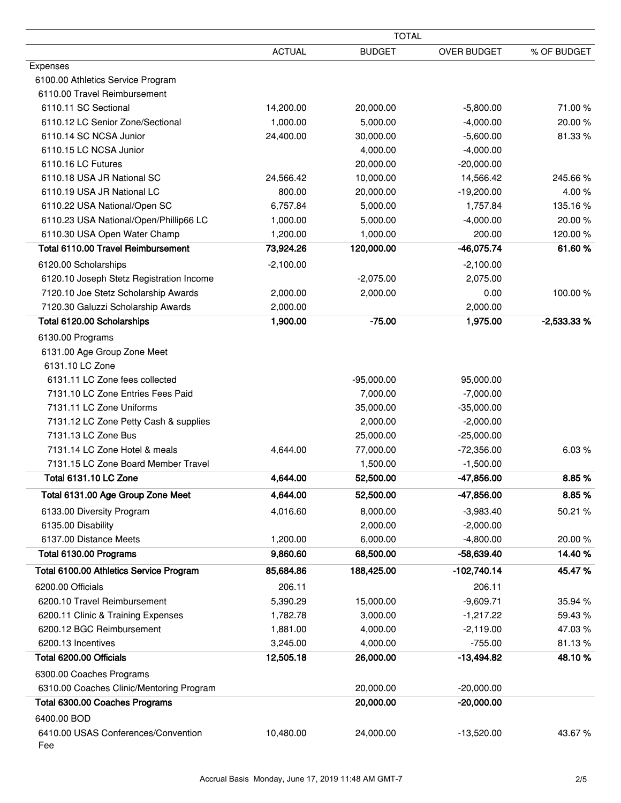|               | <b>TOTAL</b>                                                                      |                                                                                                                                                                                                           |                                                                                                                                                                                                                                                               |
|---------------|-----------------------------------------------------------------------------------|-----------------------------------------------------------------------------------------------------------------------------------------------------------------------------------------------------------|---------------------------------------------------------------------------------------------------------------------------------------------------------------------------------------------------------------------------------------------------------------|
| <b>ACTUAL</b> | <b>BUDGET</b>                                                                     | OVER BUDGET                                                                                                                                                                                               | % OF BUDGET                                                                                                                                                                                                                                                   |
|               |                                                                                   |                                                                                                                                                                                                           |                                                                                                                                                                                                                                                               |
|               |                                                                                   |                                                                                                                                                                                                           |                                                                                                                                                                                                                                                               |
|               |                                                                                   |                                                                                                                                                                                                           |                                                                                                                                                                                                                                                               |
| 14,200.00     | 20,000.00                                                                         | $-5,800.00$                                                                                                                                                                                               | 71.00%                                                                                                                                                                                                                                                        |
| 1,000.00      | 5,000.00                                                                          | $-4,000.00$                                                                                                                                                                                               | 20.00%                                                                                                                                                                                                                                                        |
| 24,400.00     | 30,000.00                                                                         | $-5,600.00$                                                                                                                                                                                               | 81.33%                                                                                                                                                                                                                                                        |
|               | 4,000.00                                                                          | $-4,000.00$                                                                                                                                                                                               |                                                                                                                                                                                                                                                               |
|               | 20,000.00                                                                         | $-20,000.00$                                                                                                                                                                                              |                                                                                                                                                                                                                                                               |
| 24,566.42     | 10,000.00                                                                         | 14,566.42                                                                                                                                                                                                 | 245.66%                                                                                                                                                                                                                                                       |
| 800.00        | 20,000.00                                                                         | $-19,200.00$                                                                                                                                                                                              | 4.00%                                                                                                                                                                                                                                                         |
| 6,757.84      | 5,000.00                                                                          | 1,757.84                                                                                                                                                                                                  | 135.16%                                                                                                                                                                                                                                                       |
| 1,000.00      | 5,000.00                                                                          | $-4,000.00$                                                                                                                                                                                               | 20.00%                                                                                                                                                                                                                                                        |
| 1,200.00      | 1,000.00                                                                          | 200.00                                                                                                                                                                                                    | 120.00%                                                                                                                                                                                                                                                       |
| 73,924.26     | 120,000.00                                                                        | $-46,075.74$                                                                                                                                                                                              | 61.60%                                                                                                                                                                                                                                                        |
| $-2,100.00$   |                                                                                   | $-2,100.00$                                                                                                                                                                                               |                                                                                                                                                                                                                                                               |
|               | $-2,075.00$                                                                       | 2,075.00                                                                                                                                                                                                  |                                                                                                                                                                                                                                                               |
| 2,000.00      | 2,000.00                                                                          | 0.00                                                                                                                                                                                                      | 100.00%                                                                                                                                                                                                                                                       |
| 2,000.00      |                                                                                   | 2,000.00                                                                                                                                                                                                  |                                                                                                                                                                                                                                                               |
| 1,900.00      | $-75.00$                                                                          |                                                                                                                                                                                                           | $-2,533.33%$                                                                                                                                                                                                                                                  |
|               |                                                                                   |                                                                                                                                                                                                           |                                                                                                                                                                                                                                                               |
|               |                                                                                   |                                                                                                                                                                                                           |                                                                                                                                                                                                                                                               |
|               |                                                                                   |                                                                                                                                                                                                           |                                                                                                                                                                                                                                                               |
|               |                                                                                   |                                                                                                                                                                                                           |                                                                                                                                                                                                                                                               |
|               |                                                                                   |                                                                                                                                                                                                           |                                                                                                                                                                                                                                                               |
|               |                                                                                   |                                                                                                                                                                                                           |                                                                                                                                                                                                                                                               |
|               |                                                                                   |                                                                                                                                                                                                           |                                                                                                                                                                                                                                                               |
|               |                                                                                   |                                                                                                                                                                                                           |                                                                                                                                                                                                                                                               |
|               |                                                                                   |                                                                                                                                                                                                           | 6.03%                                                                                                                                                                                                                                                         |
|               |                                                                                   |                                                                                                                                                                                                           |                                                                                                                                                                                                                                                               |
|               |                                                                                   |                                                                                                                                                                                                           | 8.85%                                                                                                                                                                                                                                                         |
|               |                                                                                   |                                                                                                                                                                                                           |                                                                                                                                                                                                                                                               |
|               |                                                                                   |                                                                                                                                                                                                           | 8.85%                                                                                                                                                                                                                                                         |
|               |                                                                                   |                                                                                                                                                                                                           | 50.21 %                                                                                                                                                                                                                                                       |
|               |                                                                                   |                                                                                                                                                                                                           |                                                                                                                                                                                                                                                               |
|               |                                                                                   |                                                                                                                                                                                                           | 20.00%                                                                                                                                                                                                                                                        |
|               |                                                                                   |                                                                                                                                                                                                           | 14.40%                                                                                                                                                                                                                                                        |
| 85,684.86     | 188,425.00                                                                        | -102,740.14                                                                                                                                                                                               | 45.47%                                                                                                                                                                                                                                                        |
| 206.11        |                                                                                   | 206.11                                                                                                                                                                                                    |                                                                                                                                                                                                                                                               |
| 5,390.29      | 15,000.00                                                                         | $-9,609.71$                                                                                                                                                                                               | 35.94 %                                                                                                                                                                                                                                                       |
| 1,782.78      | 3,000.00                                                                          | $-1,217.22$                                                                                                                                                                                               | 59.43%                                                                                                                                                                                                                                                        |
| 1,881.00      | 4,000.00                                                                          | $-2,119.00$                                                                                                                                                                                               | 47.03%                                                                                                                                                                                                                                                        |
| 3,245.00      | 4,000.00                                                                          | $-755.00$                                                                                                                                                                                                 | 81.13%                                                                                                                                                                                                                                                        |
| 12,505.18     | 26,000.00                                                                         | $-13,494.82$                                                                                                                                                                                              | 48.10%                                                                                                                                                                                                                                                        |
|               |                                                                                   |                                                                                                                                                                                                           |                                                                                                                                                                                                                                                               |
|               |                                                                                   |                                                                                                                                                                                                           |                                                                                                                                                                                                                                                               |
|               |                                                                                   |                                                                                                                                                                                                           |                                                                                                                                                                                                                                                               |
|               |                                                                                   |                                                                                                                                                                                                           |                                                                                                                                                                                                                                                               |
|               |                                                                                   |                                                                                                                                                                                                           | 43.67%                                                                                                                                                                                                                                                        |
|               |                                                                                   |                                                                                                                                                                                                           |                                                                                                                                                                                                                                                               |
|               | 4,644.00<br>4,644.00<br>4,644.00<br>4,016.60<br>1,200.00<br>9,860.60<br>10,480.00 | $-95,000.00$<br>7,000.00<br>35,000.00<br>2,000.00<br>25,000.00<br>77,000.00<br>1,500.00<br>52,500.00<br>52,500.00<br>8,000.00<br>2,000.00<br>6,000.00<br>68,500.00<br>20,000.00<br>20,000.00<br>24,000.00 | 1,975.00<br>95,000.00<br>$-7,000.00$<br>$-35,000.00$<br>$-2,000.00$<br>$-25,000.00$<br>$-72,356.00$<br>$-1,500.00$<br>$-47,856.00$<br>-47,856.00<br>$-3,983.40$<br>$-2,000.00$<br>$-4,800.00$<br>$-58,639.40$<br>$-20,000.00$<br>$-20,000.00$<br>$-13,520.00$ |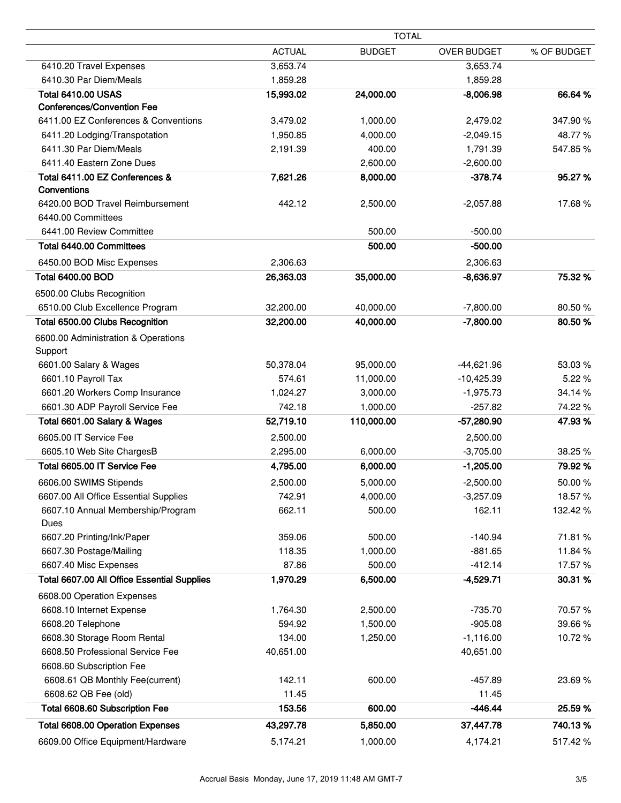|                                             |               | <b>TOTAL</b>  |                    |             |
|---------------------------------------------|---------------|---------------|--------------------|-------------|
|                                             | <b>ACTUAL</b> | <b>BUDGET</b> | <b>OVER BUDGET</b> | % OF BUDGET |
| 6410.20 Travel Expenses                     | 3,653.74      |               | 3,653.74           |             |
| 6410.30 Par Diem/Meals                      | 1,859.28      |               | 1,859.28           |             |
| <b>Total 6410.00 USAS</b>                   | 15,993.02     | 24,000.00     | $-8,006.98$        | 66.64 %     |
| <b>Conferences/Convention Fee</b>           |               |               |                    |             |
| 6411.00 EZ Conferences & Conventions        | 3,479.02      | 1,000.00      | 2,479.02           | 347.90%     |
| 6411.20 Lodging/Transpotation               | 1,950.85      | 4,000.00      | $-2,049.15$        | 48.77%      |
| 6411.30 Par Diem/Meals                      | 2,191.39      | 400.00        | 1,791.39           | 547.85%     |
| 6411.40 Eastern Zone Dues                   |               | 2,600.00      | $-2,600.00$        |             |
| Total 6411.00 EZ Conferences &              | 7,621.26      | 8,000.00      | $-378.74$          | 95.27%      |
| Conventions                                 |               |               |                    |             |
| 6420.00 BOD Travel Reimbursement            | 442.12        | 2,500.00      | $-2,057.88$        | 17.68%      |
| 6440.00 Committees                          |               |               |                    |             |
| 6441.00 Review Committee                    |               | 500.00        | $-500.00$          |             |
| Total 6440.00 Committees                    |               | 500.00        | $-500.00$          |             |
| 6450.00 BOD Misc Expenses                   | 2,306.63      |               | 2,306.63           |             |
| <b>Total 6400.00 BOD</b>                    | 26,363.03     | 35,000.00     | $-8,636.97$        | 75.32 %     |
| 6500.00 Clubs Recognition                   |               |               |                    |             |
| 6510.00 Club Excellence Program             | 32,200.00     | 40,000.00     | $-7,800.00$        | 80.50%      |
| Total 6500.00 Clubs Recognition             | 32,200.00     | 40,000.00     | $-7,800.00$        | 80.50%      |
| 6600.00 Administration & Operations         |               |               |                    |             |
| Support                                     |               |               |                    |             |
| 6601.00 Salary & Wages                      | 50,378.04     | 95,000.00     | $-44,621.96$       | 53.03%      |
| 6601.10 Payroll Tax                         | 574.61        | 11,000.00     | $-10,425.39$       | 5.22 %      |
| 6601.20 Workers Comp Insurance              | 1,024.27      | 3,000.00      | $-1,975.73$        | 34.14 %     |
| 6601.30 ADP Payroll Service Fee             | 742.18        | 1,000.00      | $-257.82$          | 74.22%      |
| Total 6601.00 Salary & Wages                | 52,719.10     | 110,000.00    | -57,280.90         | 47.93%      |
| 6605.00 IT Service Fee                      | 2,500.00      |               | 2,500.00           |             |
| 6605.10 Web Site ChargesB                   | 2,295.00      | 6,000.00      | $-3,705.00$        | 38.25 %     |
| Total 6605.00 IT Service Fee                | 4,795.00      | 6,000.00      | $-1,205.00$        | 79.92%      |
| 6606.00 SWIMS Stipends                      | 2,500.00      | 5,000.00      | $-2,500.00$        | 50.00%      |
| 6607.00 All Office Essential Supplies       | 742.91        | 4,000.00      | $-3,257.09$        | 18.57%      |
| 6607.10 Annual Membership/Program           | 662.11        | 500.00        | 162.11             | 132.42 %    |
| Dues                                        |               |               |                    |             |
| 6607.20 Printing/Ink/Paper                  | 359.06        | 500.00        | $-140.94$          | 71.81 %     |
| 6607.30 Postage/Mailing                     | 118.35        | 1,000.00      | $-881.65$          | 11.84%      |
| 6607.40 Misc Expenses                       | 87.86         | 500.00        | $-412.14$          | 17.57%      |
| Total 6607.00 All Office Essential Supplies | 1,970.29      | 6,500.00      | $-4,529.71$        | 30.31 %     |
| 6608.00 Operation Expenses                  |               |               |                    |             |
| 6608.10 Internet Expense                    | 1,764.30      | 2,500.00      | $-735.70$          | 70.57%      |
| 6608.20 Telephone                           | 594.92        | 1,500.00      | $-905.08$          | 39.66%      |
| 6608.30 Storage Room Rental                 | 134.00        | 1,250.00      | $-1,116.00$        | 10.72%      |
| 6608.50 Professional Service Fee            | 40,651.00     |               | 40,651.00          |             |
| 6608.60 Subscription Fee                    |               |               |                    |             |
| 6608.61 QB Monthly Fee(current)             | 142.11        | 600.00        | $-457.89$          | 23.69%      |
| 6608.62 QB Fee (old)                        | 11.45         |               | 11.45              |             |
| Total 6608.60 Subscription Fee              | 153.56        | 600.00        | $-446.44$          | 25.59%      |
| <b>Total 6608.00 Operation Expenses</b>     | 43,297.78     | 5,850.00      | 37,447.78          | 740.13%     |
| 6609.00 Office Equipment/Hardware           | 5,174.21      | 1,000.00      | 4,174.21           | 517.42%     |
|                                             |               |               |                    |             |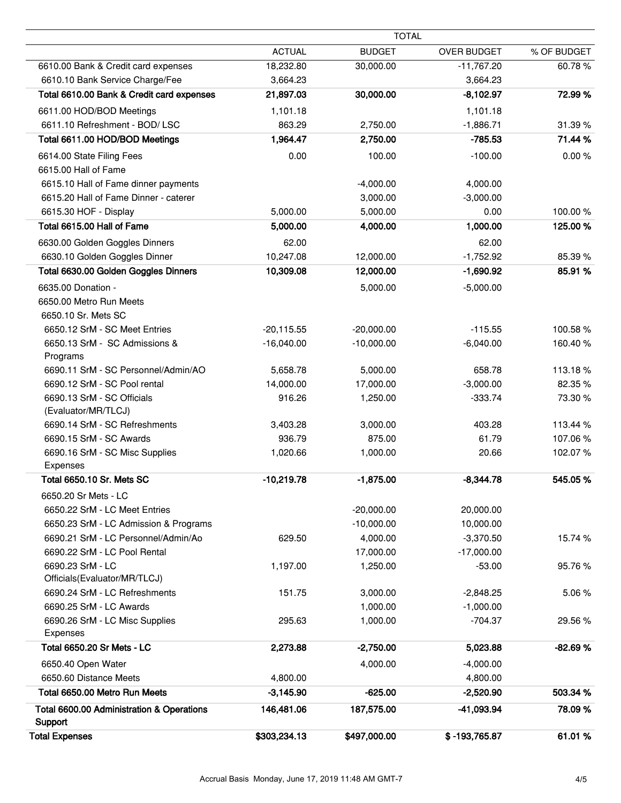|                                                       |               | <b>TOTAL</b>  |                    |             |
|-------------------------------------------------------|---------------|---------------|--------------------|-------------|
|                                                       | <b>ACTUAL</b> | <b>BUDGET</b> | <b>OVER BUDGET</b> | % OF BUDGET |
| 6610.00 Bank & Credit card expenses                   | 18,232.80     | 30,000.00     | $-11,767.20$       | 60.78%      |
| 6610.10 Bank Service Charge/Fee                       | 3,664.23      |               | 3,664.23           |             |
| Total 6610.00 Bank & Credit card expenses             | 21,897.03     | 30,000.00     | $-8,102.97$        | 72.99 %     |
| 6611.00 HOD/BOD Meetings                              | 1,101.18      |               | 1,101.18           |             |
| 6611.10 Refreshment - BOD/ LSC                        | 863.29        | 2,750.00      | $-1,886.71$        | 31.39%      |
| Total 6611.00 HOD/BOD Meetings                        | 1,964.47      | 2,750.00      | $-785.53$          | 71.44 %     |
| 6614.00 State Filing Fees                             | 0.00          | 100.00        | $-100.00$          | 0.00%       |
| 6615.00 Hall of Fame                                  |               |               |                    |             |
| 6615.10 Hall of Fame dinner payments                  |               | $-4,000.00$   | 4,000.00           |             |
| 6615.20 Hall of Fame Dinner - caterer                 |               | 3,000.00      | $-3,000.00$        |             |
| 6615.30 HOF - Display                                 | 5,000.00      | 5,000.00      | 0.00               | 100.00%     |
| Total 6615.00 Hall of Fame                            | 5,000.00      | 4,000.00      | 1,000.00           | 125.00 %    |
| 6630.00 Golden Goggles Dinners                        | 62.00         |               | 62.00              |             |
| 6630.10 Golden Goggles Dinner                         | 10,247.08     | 12,000.00     | $-1,752.92$        | 85.39%      |
| Total 6630.00 Golden Goggles Dinners                  | 10,309.08     | 12,000.00     | $-1,690.92$        | 85.91 %     |
| 6635.00 Donation -                                    |               | 5,000.00      | $-5,000.00$        |             |
| 6650.00 Metro Run Meets                               |               |               |                    |             |
| 6650.10 Sr. Mets SC                                   |               |               |                    |             |
| 6650.12 SrM - SC Meet Entries                         | $-20,115.55$  | $-20,000.00$  | $-115.55$          | 100.58%     |
| 6650.13 SrM - SC Admissions &                         | $-16,040.00$  | $-10,000.00$  | $-6,040.00$        | 160.40%     |
| Programs                                              |               |               |                    |             |
| 6690.11 SrM - SC Personnel/Admin/AO                   | 5,658.78      | 5,000.00      | 658.78             | 113.18%     |
| 6690.12 SrM - SC Pool rental                          | 14,000.00     | 17,000.00     | $-3,000.00$        | 82.35 %     |
| 6690.13 SrM - SC Officials<br>(Evaluator/MR/TLCJ)     | 916.26        | 1,250.00      | $-333.74$          | 73.30 %     |
| 6690.14 SrM - SC Refreshments                         | 3,403.28      | 3,000.00      | 403.28             | 113.44 %    |
| 6690.15 SrM - SC Awards                               | 936.79        | 875.00        | 61.79              | 107.06%     |
| 6690.16 SrM - SC Misc Supplies<br>Expenses            | 1,020.66      | 1,000.00      | 20.66              | 102.07%     |
| Total 6650.10 Sr. Mets SC                             | $-10,219.78$  | $-1,875.00$   | $-8,344.78$        | 545.05%     |
|                                                       |               |               |                    |             |
| 6650.20 Sr Mets - LC<br>6650.22 SrM - LC Meet Entries |               | $-20,000.00$  | 20,000.00          |             |
| 6650.23 SrM - LC Admission & Programs                 |               | $-10,000.00$  | 10,000.00          |             |
| 6690.21 SrM - LC Personnel/Admin/Ao                   | 629.50        | 4,000.00      | $-3,370.50$        | 15.74 %     |
| 6690.22 SrM - LC Pool Rental                          |               | 17,000.00     | $-17,000.00$       |             |
| 6690.23 SrM - LC                                      | 1,197.00      | 1,250.00      | $-53.00$           | 95.76 %     |
| Officials(Evaluator/MR/TLCJ)                          |               |               |                    |             |
| 6690.24 SrM - LC Refreshments                         | 151.75        | 3,000.00      | $-2,848.25$        | 5.06%       |
| 6690.25 SrM - LC Awards                               |               | 1,000.00      | $-1,000.00$        |             |
| 6690.26 SrM - LC Misc Supplies                        | 295.63        | 1,000.00      | $-704.37$          | 29.56 %     |
| Expenses                                              |               |               |                    |             |
| Total 6650.20 Sr Mets - LC                            | 2,273.88      | $-2,750.00$   | 5,023.88           | $-82.69%$   |
| 6650.40 Open Water                                    |               | 4,000.00      | $-4,000.00$        |             |
| 6650.60 Distance Meets                                | 4,800.00      |               | 4,800.00           |             |
| Total 6650.00 Metro Run Meets                         | $-3,145.90$   | $-625.00$     | $-2,520.90$        | 503.34 %    |
| Total 6600.00 Administration & Operations             | 146,481.06    | 187,575.00    | -41,093.94         | 78.09%      |
| Support                                               |               |               |                    |             |
| <b>Total Expenses</b>                                 | \$303,234.13  | \$497,000.00  | \$-193,765.87      | 61.01%      |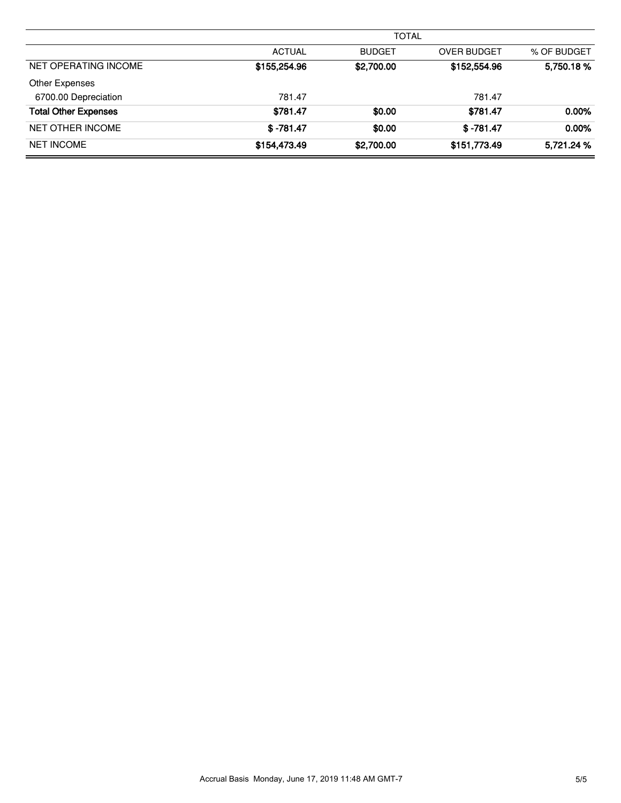|                             | <b>TOTAL</b>  |               |                    |             |  |  |  |
|-----------------------------|---------------|---------------|--------------------|-------------|--|--|--|
|                             | <b>ACTUAL</b> | <b>BUDGET</b> | <b>OVER BUDGET</b> | % OF BUDGET |  |  |  |
| NET OPERATING INCOME        | \$155,254.96  | \$2,700.00    | \$152,554.96       | 5,750.18%   |  |  |  |
| Other Expenses              |               |               |                    |             |  |  |  |
| 6700.00 Depreciation        | 781.47        |               | 781.47             |             |  |  |  |
| <b>Total Other Expenses</b> | \$781.47      | \$0.00        | \$781.47           | $0.00\%$    |  |  |  |
| <b>NET OTHER INCOME</b>     | $$ -781.47$   | \$0.00        | $$ -781.47$        | 0.00%       |  |  |  |
| <b>NET INCOME</b>           | \$154,473.49  | \$2,700.00    | \$151,773.49       | 5,721.24 %  |  |  |  |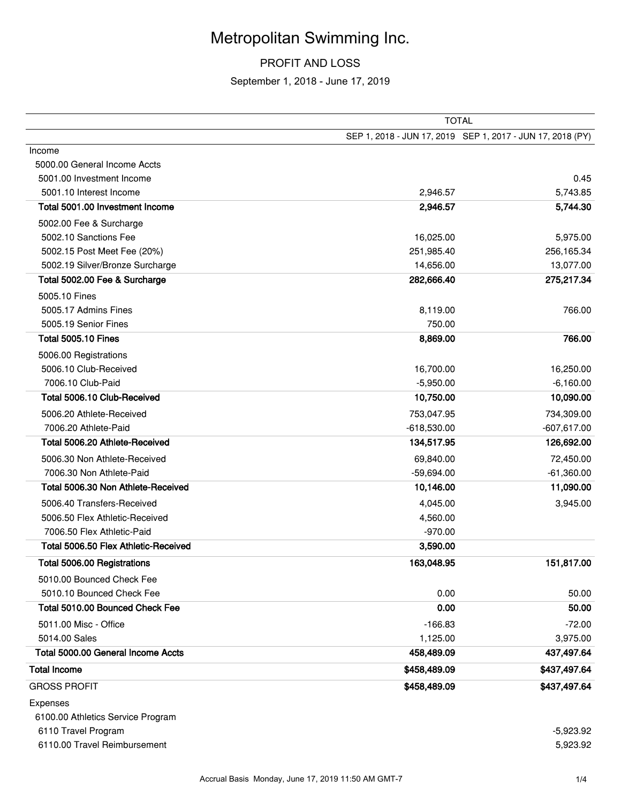# Metropolitan Swimming Inc.

### PROFIT AND LOSS

September 1, 2018 - June 17, 2019

|                                      |               | <b>TOTAL</b>                                               |
|--------------------------------------|---------------|------------------------------------------------------------|
|                                      |               | SEP 1, 2018 - JUN 17, 2019 SEP 1, 2017 - JUN 17, 2018 (PY) |
| Income                               |               |                                                            |
| 5000.00 General Income Accts         |               |                                                            |
| 5001.00 Investment Income            |               | 0.45                                                       |
| 5001.10 Interest Income              | 2,946.57      | 5,743.85                                                   |
| Total 5001.00 Investment Income      | 2,946.57      | 5,744.30                                                   |
| 5002.00 Fee & Surcharge              |               |                                                            |
| 5002.10 Sanctions Fee                | 16,025.00     | 5,975.00                                                   |
| 5002.15 Post Meet Fee (20%)          | 251,985.40    | 256,165.34                                                 |
| 5002.19 Silver/Bronze Surcharge      | 14,656.00     | 13,077.00                                                  |
| Total 5002.00 Fee & Surcharge        | 282,666.40    | 275,217.34                                                 |
| 5005.10 Fines                        |               |                                                            |
| 5005.17 Admins Fines                 | 8,119.00      | 766.00                                                     |
| 5005.19 Senior Fines                 | 750.00        |                                                            |
| Total 5005.10 Fines                  | 8,869.00      | 766.00                                                     |
| 5006.00 Registrations                |               |                                                            |
| 5006.10 Club-Received                | 16,700.00     | 16,250.00                                                  |
| 7006.10 Club-Paid                    | $-5,950.00$   | $-6,160.00$                                                |
| Total 5006.10 Club-Received          | 10,750.00     | 10,090.00                                                  |
| 5006.20 Athlete-Received             | 753,047.95    | 734,309.00                                                 |
| 7006.20 Athlete-Paid                 | $-618,530.00$ | $-607,617.00$                                              |
| Total 5006.20 Athlete-Received       | 134,517.95    | 126,692.00                                                 |
| 5006.30 Non Athlete-Received         | 69,840.00     | 72,450.00                                                  |
| 7006.30 Non Athlete-Paid             | $-59,694.00$  | $-61,360.00$                                               |
| Total 5006.30 Non Athlete-Received   | 10,146.00     | 11,090.00                                                  |
| 5006.40 Transfers-Received           | 4,045.00      | 3,945.00                                                   |
| 5006.50 Flex Athletic-Received       | 4,560.00      |                                                            |
| 7006.50 Flex Athletic-Paid           | $-970.00$     |                                                            |
| Total 5006.50 Flex Athletic-Received | 3,590.00      |                                                            |
| Total 5006.00 Registrations          | 163,048.95    | 151,817.00                                                 |
| 5010.00 Bounced Check Fee            |               |                                                            |
| 5010.10 Bounced Check Fee            | 0.00          | 50.00                                                      |
| Total 5010.00 Bounced Check Fee      | 0.00          | 50.00                                                      |
|                                      |               |                                                            |
| 5011.00 Misc - Office                | $-166.83$     | $-72.00$                                                   |
| 5014.00 Sales                        | 1,125.00      | 3,975.00                                                   |
| Total 5000.00 General Income Accts   | 458,489.09    | 437,497.64                                                 |
| <b>Total Income</b>                  | \$458,489.09  | \$437,497.64                                               |
| <b>GROSS PROFIT</b>                  | \$458,489.09  | \$437,497.64                                               |
| Expenses                             |               |                                                            |
| 6100.00 Athletics Service Program    |               |                                                            |
| 6110 Travel Program                  |               | $-5,923.92$                                                |
| 6110.00 Travel Reimbursement         |               | 5,923.92                                                   |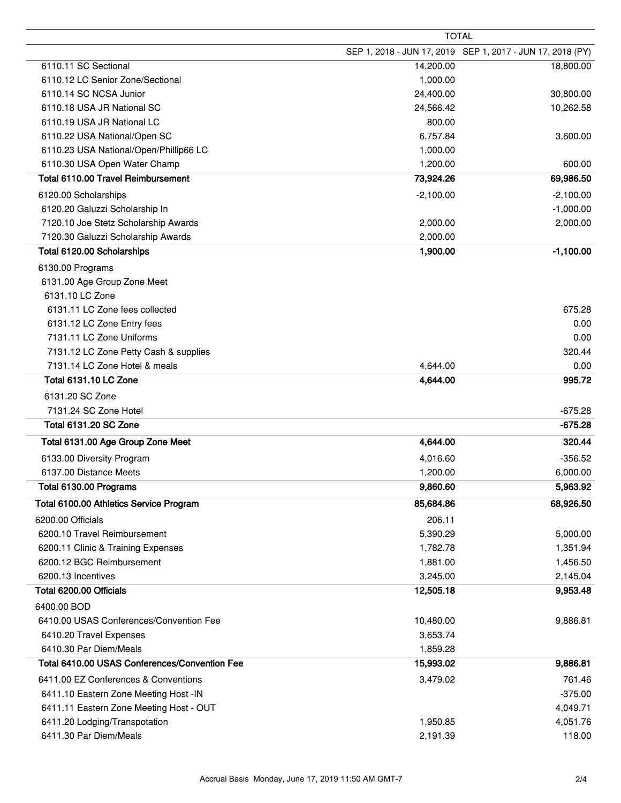|                                                                        |             | <b>TOTAL</b>                                               |
|------------------------------------------------------------------------|-------------|------------------------------------------------------------|
|                                                                        |             | SEP 1, 2018 - JUN 17, 2019 SEP 1, 2017 - JUN 17, 2018 (PY) |
| 6110.11 SC Sectional                                                   | 14,200.00   | 18,800.00                                                  |
| 6110.12 LC Senior Zone/Sectional                                       | 1,000.00    |                                                            |
| 6110.14 SC NCSA Junior                                                 | 24,400.00   | 30,800.00                                                  |
| 6110.18 USA JR National SC                                             | 24,566.42   | 10,262.58                                                  |
| 6110.19 USA JR National LC                                             | 800.00      |                                                            |
| 6110.22 USA National/Open SC                                           | 6,757.84    | 3,600.00                                                   |
| 6110.23 USA National/Open/Phillip66 LC                                 | 1,000.00    |                                                            |
| 6110.30 USA Open Water Champ                                           | 1,200.00    | 600.00                                                     |
| Total 6110.00 Travel Reimbursement                                     | 73,924.26   | 69,986.50                                                  |
| 6120.00 Scholarships                                                   | $-2,100.00$ | $-2,100.00$                                                |
| 6120.20 Galuzzi Scholarship In                                         |             | $-1,000.00$                                                |
| 7120.10 Joe Stetz Scholarship Awards                                   | 2,000.00    | 2,000.00                                                   |
| 7120.30 Galuzzi Scholarship Awards                                     | 2,000.00    |                                                            |
| Total 6120.00 Scholarships                                             | 1,900.00    | $-1,100.00$                                                |
|                                                                        |             |                                                            |
| 6130.00 Programs<br>6131.00 Age Group Zone Meet                        |             |                                                            |
| 6131.10 LC Zone                                                        |             |                                                            |
| 6131.11 LC Zone fees collected                                         |             | 675.28                                                     |
| 6131.12 LC Zone Entry fees                                             |             | 0.00                                                       |
| 7131.11 LC Zone Uniforms                                               |             | 0.00                                                       |
|                                                                        |             | 320.44                                                     |
| 7131.12 LC Zone Petty Cash & supplies<br>7131.14 LC Zone Hotel & meals |             | 0.00                                                       |
|                                                                        | 4,644.00    | 995.72                                                     |
| <b>Total 6131.10 LC Zone</b>                                           | 4,644.00    |                                                            |
| 6131.20 SC Zone                                                        |             |                                                            |
| 7131.24 SC Zone Hotel                                                  |             | $-675.28$                                                  |
| <b>Total 6131.20 SC Zone</b>                                           |             | $-675.28$                                                  |
| Total 6131.00 Age Group Zone Meet                                      | 4,644.00    | 320.44                                                     |
| 6133.00 Diversity Program                                              | 4,016.60    | $-356.52$                                                  |
| 6137.00 Distance Meets                                                 | 1,200.00    | 6,000.00                                                   |
| Total 6130.00 Programs                                                 | 9,860.60    | 5,963.92                                                   |
| Total 6100.00 Athletics Service Program                                | 85,684.86   | 68,926.50                                                  |
| 6200.00 Officials                                                      | 206.11      |                                                            |
| 6200.10 Travel Reimbursement                                           | 5,390.29    | 5,000.00                                                   |
| 6200.11 Clinic & Training Expenses                                     | 1,782.78    | 1,351.94                                                   |
| 6200.12 BGC Reimbursement                                              | 1,881.00    | 1,456.50                                                   |
| 6200.13 Incentives                                                     | 3,245.00    | 2,145.04                                                   |
| Total 6200.00 Officials                                                | 12,505.18   | 9,953.48                                                   |
|                                                                        |             |                                                            |
| 6400.00 BOD                                                            |             |                                                            |
| 6410.00 USAS Conferences/Convention Fee                                | 10,480.00   | 9,886.81                                                   |
| 6410.20 Travel Expenses                                                | 3,653.74    |                                                            |
| 6410.30 Par Diem/Meals                                                 | 1,859.28    |                                                            |
| Total 6410.00 USAS Conferences/Convention Fee                          | 15,993.02   | 9,886.81                                                   |
| 6411.00 EZ Conferences & Conventions                                   | 3,479.02    | 761.46                                                     |
| 6411.10 Eastern Zone Meeting Host -IN                                  |             | $-375.00$                                                  |
| 6411.11 Eastern Zone Meeting Host - OUT                                |             | 4,049.71                                                   |
| 6411.20 Lodging/Transpotation                                          | 1,950.85    | 4,051.76                                                   |
| 6411.30 Par Diem/Meals                                                 | 2,191.39    | 118.00                                                     |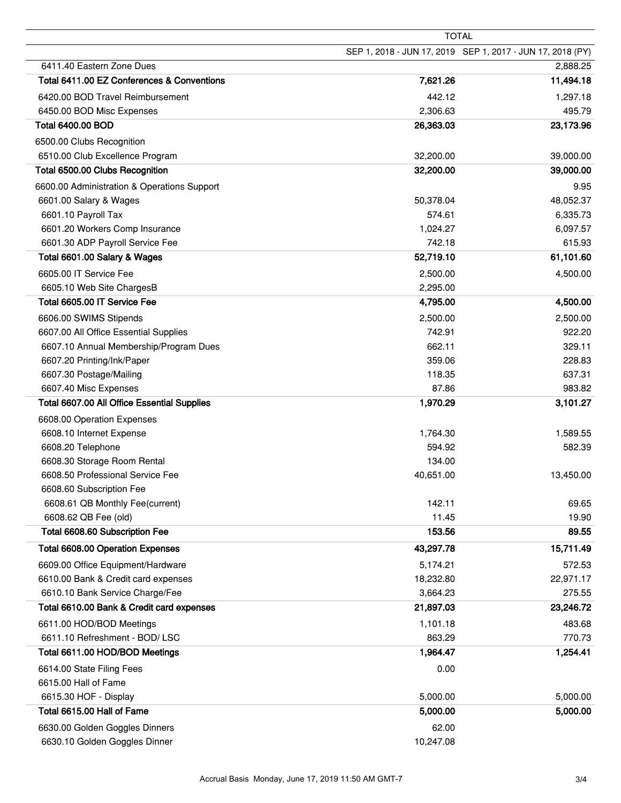|                                             |           | <b>TOTAL</b>                                               |
|---------------------------------------------|-----------|------------------------------------------------------------|
|                                             |           | SEP 1, 2018 - JUN 17, 2019 SEP 1, 2017 - JUN 17, 2018 (PY) |
| 6411.40 Eastern Zone Dues                   |           | 2,888.25                                                   |
| Total 6411.00 EZ Conferences & Conventions  | 7,621.26  | 11,494.18                                                  |
| 6420.00 BOD Travel Reimbursement            | 442.12    | 1,297.18                                                   |
| 6450.00 BOD Misc Expenses                   | 2,306.63  | 495.79                                                     |
| <b>Total 6400.00 BOD</b>                    | 26,363.03 | 23,173.96                                                  |
| 6500.00 Clubs Recognition                   |           |                                                            |
| 6510.00 Club Excellence Program             | 32,200.00 | 39,000.00                                                  |
| Total 6500.00 Clubs Recognition             | 32,200.00 | 39,000.00                                                  |
| 6600.00 Administration & Operations Support |           | 9.95                                                       |
| 6601.00 Salary & Wages                      | 50,378.04 | 48,052.37                                                  |
| 6601.10 Payroll Tax                         | 574.61    | 6,335.73                                                   |
| 6601.20 Workers Comp Insurance              | 1,024.27  | 6,097.57                                                   |
| 6601.30 ADP Payroll Service Fee             | 742.18    | 615.93                                                     |
| Total 6601.00 Salary & Wages                | 52,719.10 | 61,101.60                                                  |
| 6605.00 IT Service Fee                      | 2,500.00  | 4,500.00                                                   |
| 6605.10 Web Site ChargesB                   | 2,295.00  |                                                            |
| Total 6605.00 IT Service Fee                | 4,795.00  | 4,500.00                                                   |
| 6606.00 SWIMS Stipends                      | 2,500.00  | 2,500.00                                                   |
| 6607.00 All Office Essential Supplies       | 742.91    | 922.20                                                     |
| 6607.10 Annual Membership/Program Dues      | 662.11    | 329.11                                                     |
| 6607.20 Printing/Ink/Paper                  | 359.06    | 228.83                                                     |
| 6607.30 Postage/Mailing                     | 118.35    | 637.31                                                     |
| 6607.40 Misc Expenses                       | 87.86     | 983.82                                                     |
| Total 6607.00 All Office Essential Supplies | 1,970.29  | 3,101.27                                                   |
| 6608.00 Operation Expenses                  |           |                                                            |
| 6608.10 Internet Expense                    | 1,764.30  | 1,589.55                                                   |
| 6608.20 Telephone                           | 594.92    | 582.39                                                     |
| 6608.30 Storage Room Rental                 | 134.00    |                                                            |
| 6608.50 Professional Service Fee            | 40,651.00 | 13,450.00                                                  |
| 6608.60 Subscription Fee                    |           |                                                            |
| 6608.61 QB Monthly Fee(current)             | 142.11    | 69.65                                                      |
| 6608.62 QB Fee (old)                        | 11.45     | 19.90                                                      |
| Total 6608.60 Subscription Fee              | 153.56    | 89.55                                                      |
| <b>Total 6608.00 Operation Expenses</b>     | 43,297.78 | 15,711.49                                                  |
| 6609.00 Office Equipment/Hardware           | 5,174.21  | 572.53                                                     |
| 6610.00 Bank & Credit card expenses         | 18,232.80 | 22,971.17                                                  |
| 6610.10 Bank Service Charge/Fee             | 3,664.23  | 275.55                                                     |
| Total 6610.00 Bank & Credit card expenses   | 21,897.03 | 23,246.72                                                  |
| 6611.00 HOD/BOD Meetings                    | 1,101.18  | 483.68                                                     |
| 6611.10 Refreshment - BOD/ LSC              | 863.29    | 770.73                                                     |
| Total 6611.00 HOD/BOD Meetings              | 1,964.47  | 1,254.41                                                   |
| 6614.00 State Filing Fees                   | 0.00      |                                                            |
| 6615.00 Hall of Fame                        |           |                                                            |
| 6615.30 HOF - Display                       | 5,000.00  | 5,000.00                                                   |
| Total 6615.00 Hall of Fame                  | 5,000.00  | 5,000.00                                                   |
| 6630.00 Golden Goggles Dinners              | 62.00     |                                                            |
| 6630.10 Golden Goggles Dinner               | 10,247.08 |                                                            |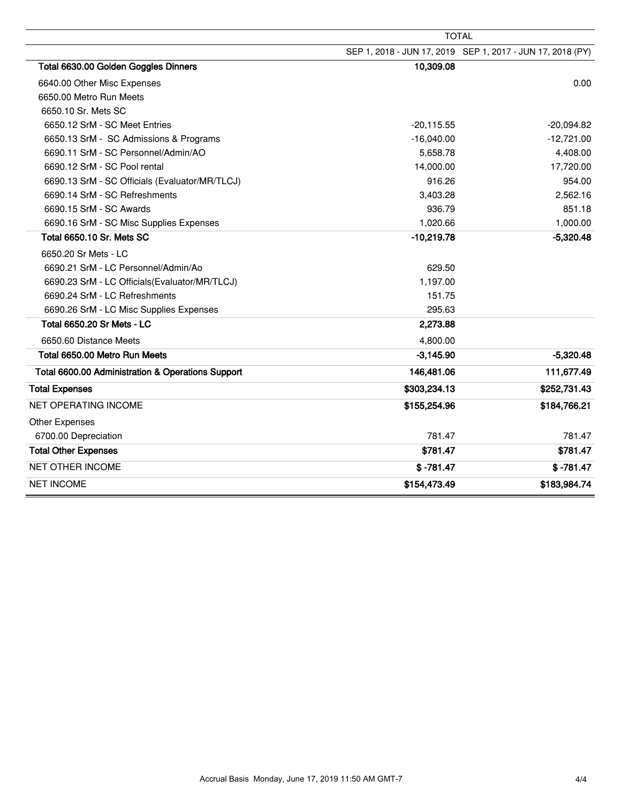|                                                   | <b>TOTAL</b> |                                                            |
|---------------------------------------------------|--------------|------------------------------------------------------------|
|                                                   |              | SEP 1, 2018 - JUN 17, 2019 SEP 1, 2017 - JUN 17, 2018 (PY) |
| Total 6630.00 Golden Goggles Dinners              | 10,309.08    |                                                            |
| 6640.00 Other Misc Expenses                       |              | 0.00                                                       |
| 6650.00 Metro Run Meets                           |              |                                                            |
| 6650.10 Sr. Mets SC                               |              |                                                            |
| 6650.12 SrM - SC Meet Entries                     | $-20,115.55$ | $-20,094.82$                                               |
| 6650.13 SrM - SC Admissions & Programs            | $-16,040.00$ | $-12,721.00$                                               |
| 6690.11 SrM - SC Personnel/Admin/AO               | 5,658.78     | 4,408.00                                                   |
| 6690.12 SrM - SC Pool rental                      | 14,000.00    | 17,720.00                                                  |
| 6690.13 SrM - SC Officials (Evaluator/MR/TLCJ)    | 916.26       | 954.00                                                     |
| 6690.14 SrM - SC Refreshments                     | 3,403.28     | 2,562.16                                                   |
| 6690.15 SrM - SC Awards                           | 936.79       | 851.18                                                     |
| 6690.16 SrM - SC Misc Supplies Expenses           | 1,020.66     | 1,000.00                                                   |
| Total 6650.10 Sr. Mets SC                         | $-10,219.78$ | $-5,320.48$                                                |
| 6650.20 Sr Mets - LC                              |              |                                                            |
| 6690.21 SrM - LC Personnel/Admin/Ao               | 629.50       |                                                            |
| 6690.23 SrM - LC Officials (Evaluator/MR/TLCJ)    | 1,197.00     |                                                            |
| 6690.24 SrM - LC Refreshments                     | 151.75       |                                                            |
| 6690.26 SrM - LC Misc Supplies Expenses           | 295.63       |                                                            |
| Total 6650.20 Sr Mets - LC                        | 2,273.88     |                                                            |
| 6650.60 Distance Meets                            | 4,800.00     |                                                            |
| Total 6650.00 Metro Run Meets                     | $-3,145.90$  | $-5,320.48$                                                |
| Total 6600.00 Administration & Operations Support | 146,481.06   | 111,677.49                                                 |
| <b>Total Expenses</b>                             | \$303,234.13 | \$252,731.43                                               |
| NET OPERATING INCOME                              | \$155,254.96 | \$184,766.21                                               |
| Other Expenses                                    |              |                                                            |
| 6700.00 Depreciation                              | 781.47       | 781.47                                                     |
| <b>Total Other Expenses</b>                       | \$781.47     | \$781.47                                                   |
| <b>NET OTHER INCOME</b>                           | $$ -781.47$  | $$ -781.47$                                                |
| <b>NET INCOME</b>                                 | \$154,473.49 | \$183,984.74                                               |

Ē,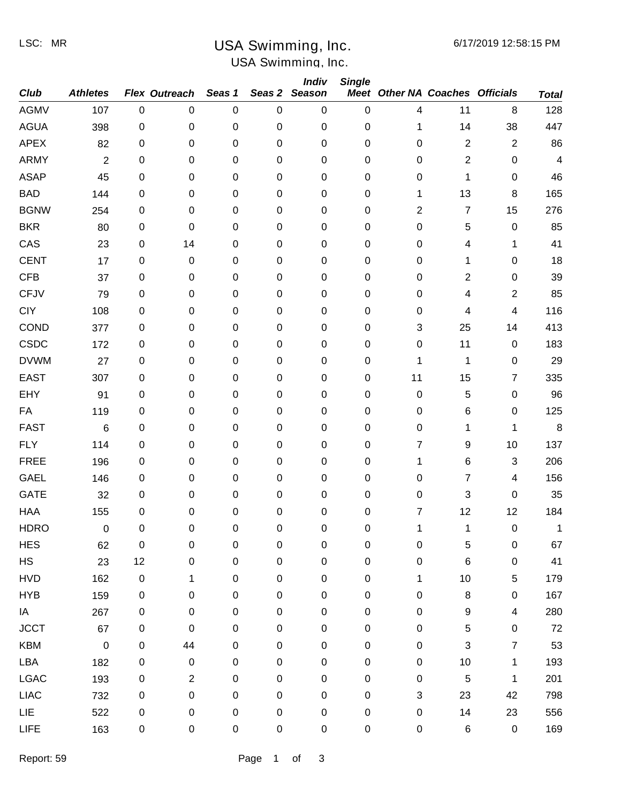LSC: MR

# USA Swimming, Inc.

# USA Swimming, Inc.

|             |                 |             |                |             |             | <b>Indiv</b>     | <b>Single</b>    |                                        |                  |                          |              |
|-------------|-----------------|-------------|----------------|-------------|-------------|------------------|------------------|----------------------------------------|------------------|--------------------------|--------------|
| <b>Club</b> | <b>Athletes</b> |             | Flex Outreach  | Seas 1      | Seas 2      | <b>Season</b>    |                  | <b>Meet Other NA Coaches Officials</b> |                  |                          | <b>Total</b> |
| <b>AGMV</b> | 107             | $\mathbf 0$ | 0              | $\pmb{0}$   | $\mathbf 0$ | $\pmb{0}$        | 0                | 4                                      | 11               | 8                        | 128          |
| <b>AGUA</b> | 398             | 0           | 0              | $\pmb{0}$   | $\pmb{0}$   | $\pmb{0}$        | 0                | 1                                      | 14               | 38                       | 447          |
| <b>APEX</b> | 82              | $\,0\,$     | 0              | 0           | $\pmb{0}$   | $\boldsymbol{0}$ | 0                | 0                                      | $\overline{2}$   | $\overline{2}$           | 86           |
| <b>ARMY</b> | $\overline{2}$  | 0           | 0              | 0           | $\pmb{0}$   | $\pmb{0}$        | $\mathbf 0$      | 0                                      | $\overline{2}$   | 0                        | 4            |
| <b>ASAP</b> | 45              | 0           | 0              | 0           | $\pmb{0}$   | $\pmb{0}$        | 0                | 0                                      | 1                | $\pmb{0}$                | 46           |
| <b>BAD</b>  | 144             | 0           | 0              | $\pmb{0}$   | $\pmb{0}$   | $\pmb{0}$        | $\mathbf 0$      | 1                                      | 13               | 8                        | 165          |
| <b>BGNW</b> | 254             | 0           | 0              | $\pmb{0}$   | $\pmb{0}$   | $\pmb{0}$        | 0                | 2                                      | $\overline{7}$   | 15                       | 276          |
| <b>BKR</b>  | 80              | 0           | 0              | 0           | $\pmb{0}$   | $\pmb{0}$        | $\mathbf 0$      | $\pmb{0}$                              | 5                | $\pmb{0}$                | 85           |
| CAS         | 23              | 0           | 14             | 0           | $\pmb{0}$   | $\pmb{0}$        | 0                | 0                                      | 4                | 1                        | 41           |
| <b>CENT</b> | 17              | 0           | 0              | 0           | $\pmb{0}$   | $\pmb{0}$        | 0                | 0                                      | 1                | 0                        | 18           |
| <b>CFB</b>  | 37              | $\,0\,$     | 0              | 0           | 0           | $\boldsymbol{0}$ | 0                | $\mathbf 0$                            | 2                | $\pmb{0}$                | 39           |
| <b>CFJV</b> | 79              | 0           | 0              | 0           | $\pmb{0}$   | $\pmb{0}$        | $\mathbf 0$      | 0                                      | 4                | $\overline{2}$           | 85           |
| <b>CIY</b>  | 108             | 0           | 0              | 0           | $\pmb{0}$   | $\pmb{0}$        | 0                | 0                                      | 4                | 4                        | 116          |
| COND        | 377             | 0           | 0              | $\pmb{0}$   | $\pmb{0}$   | $\pmb{0}$        | 0                | 3                                      | 25               | 14                       | 413          |
| <b>CSDC</b> | 172             | 0           | 0              | $\pmb{0}$   | $\pmb{0}$   | $\pmb{0}$        | 0                | $\pmb{0}$                              | 11               | $\pmb{0}$                | 183          |
| <b>DVWM</b> | 27              | 0           | 0              | 0           | $\pmb{0}$   | $\pmb{0}$        | $\mathbf 0$      | 1                                      | $\mathbf 1$      | 0                        | 29           |
| <b>EAST</b> | 307             | 0           | 0              | 0           | $\pmb{0}$   | $\pmb{0}$        | $\mathbf 0$      | 11                                     | 15               | 7                        | 335          |
| <b>EHY</b>  | 91              | 0           | 0              | 0           | $\pmb{0}$   | $\pmb{0}$        | 0                | $\pmb{0}$                              | 5                | 0                        | 96           |
| FA          | 119             | $\,0\,$     | 0              | 0           | $\pmb{0}$   | $\pmb{0}$        | 0                | $\pmb{0}$                              | $\,6$            | $\pmb{0}$                | 125          |
| <b>FAST</b> | 6               | 0           | 0              | 0           | $\pmb{0}$   | $\pmb{0}$        | $\mathbf 0$      | 0                                      | 1                | 1                        | $\, 8$       |
| <b>FLY</b>  | 114             | 0           | 0              | 0           | $\pmb{0}$   | $\pmb{0}$        | 0                | 7                                      | 9                | 10                       | 137          |
| <b>FREE</b> | 196             | 0           | 0              | $\pmb{0}$   | $\pmb{0}$   | $\pmb{0}$        | $\mathbf 0$      | 1                                      | $\,6$            | $\sqrt{3}$               | 206          |
| <b>GAEL</b> | 146             | 0           | 0              | $\pmb{0}$   | $\pmb{0}$   | $\pmb{0}$        | 0                | 0                                      | 7                | 4                        | 156          |
| <b>GATE</b> | 32              | 0           | 0              | 0           | $\pmb{0}$   | $\pmb{0}$        | $\mathbf 0$      | 0                                      | 3                | $\pmb{0}$                | 35           |
| <b>HAA</b>  | 155             | $\,0\,$     | 0              | 0           | 0           | 0                | 0                | 7                                      | 12               | 12                       | 184          |
| <b>HDRO</b> | 0               | $\mathbf 0$ | 0              | $\mathbf 0$ | $\mathbf 0$ | 0                | $\Omega$         | 1                                      | 1                | $\pmb{0}$                | 1            |
| <b>HES</b>  | 62              | $\pmb{0}$   | $\pmb{0}$      | $\pmb{0}$   | $\mathbf 0$ | $\mathbf 0$      | $\pmb{0}$        | $\pmb{0}$                              | $\mathbf 5$      | $\mathbf 0$              | 67           |
| HS          | 23              | 12          | $\pmb{0}$      | $\pmb{0}$   | $\pmb{0}$   | $\mathbf 0$      | $\boldsymbol{0}$ | $\pmb{0}$                              | $\,6$            | 0                        | 41           |
| <b>HVD</b>  | 162             | $\pmb{0}$   | 1              | $\pmb{0}$   | $\pmb{0}$   | $\pmb{0}$        | $\pmb{0}$        | 1                                      | 10               | 5                        | 179          |
| <b>HYB</b>  | 159             | $\pmb{0}$   | 0              | $\pmb{0}$   | $\pmb{0}$   | $\pmb{0}$        | $\pmb{0}$        | $\pmb{0}$                              | 8                | 0                        | 167          |
| IA          | 267             | $\mathbf 0$ | $\pmb{0}$      | $\pmb{0}$   | $\pmb{0}$   | $\pmb{0}$        | $\pmb{0}$        | $\pmb{0}$                              | $\boldsymbol{9}$ | $\overline{\mathcal{A}}$ | 280          |
| <b>JCCT</b> | 67              | $\pmb{0}$   | $\pmb{0}$      | $\pmb{0}$   | $\pmb{0}$   | $\pmb{0}$        | $\pmb{0}$        | $\pmb{0}$                              | $\sqrt{5}$       | 0                        | 72           |
| <b>KBM</b>  | $\mathbf 0$     | $\pmb{0}$   | 44             | 0           | $\pmb{0}$   | $\pmb{0}$        | 0                | $\pmb{0}$                              | 3                | 7                        | 53           |
| LBA         | 182             | $\,0\,$     | $\pmb{0}$      | $\pmb{0}$   | $\pmb{0}$   | $\pmb{0}$        | $\pmb{0}$        | $\pmb{0}$                              | 10               | 1                        | 193          |
| <b>LGAC</b> | 193             | $\pmb{0}$   | $\overline{c}$ | $\mathbf 0$ | $\pmb{0}$   | $\pmb{0}$        | $\pmb{0}$        | $\pmb{0}$                              | $\,$ 5 $\,$      | 1                        | 201          |
| <b>LIAC</b> | 732             | $\,0\,$     | $\pmb{0}$      | $\pmb{0}$   | $\pmb{0}$   | $\pmb{0}$        | $\pmb{0}$        | $\ensuremath{\mathsf{3}}$              | 23               | 42                       | 798          |
| LIE         | 522             | $\,0\,$     | $\pmb{0}$      | $\pmb{0}$   | $\pmb{0}$   | $\pmb{0}$        | $\pmb{0}$        | $\pmb{0}$                              | 14               | 23                       | 556          |
| <b>LIFE</b> | 163             | $\pmb{0}$   | 0              | $\pmb{0}$   | $\pmb{0}$   | $\pmb{0}$        | $\pmb{0}$        | $\pmb{0}$                              | $\,6$            | $\pmb{0}$                | 169          |
|             |                 |             |                |             |             |                  |                  |                                        |                  |                          |              |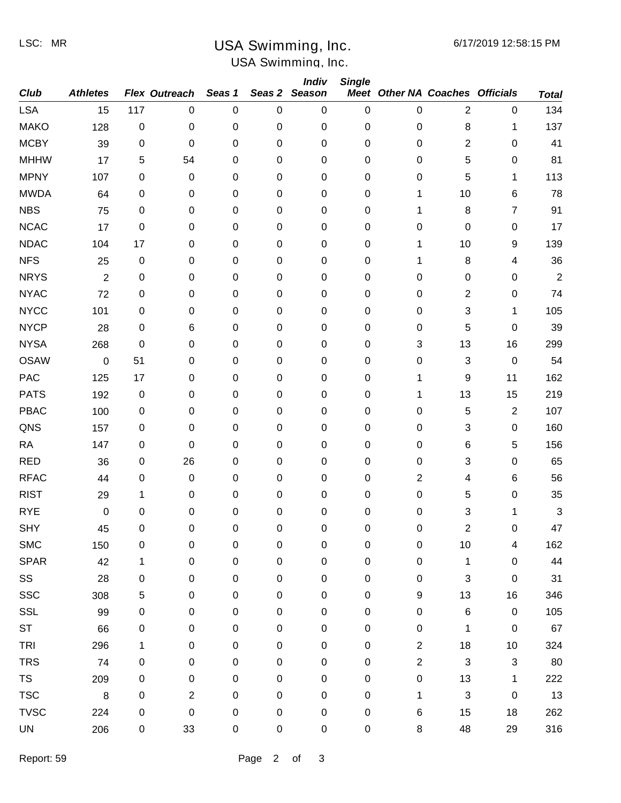LSC: MR

# USA Swimming, Inc.

# USA Swimming, Inc.

|             |                 |           |                |             |             | <b>Indiv</b>     | <b>Single</b> |                                        |                           |              |              |
|-------------|-----------------|-----------|----------------|-------------|-------------|------------------|---------------|----------------------------------------|---------------------------|--------------|--------------|
| <b>Club</b> | <b>Athletes</b> |           | Flex Outreach  | Seas 1      | Seas 2      | <b>Season</b>    |               | <b>Meet Other NA Coaches Officials</b> |                           |              | <b>Total</b> |
| <b>LSA</b>  | 15              | 117       | $\mathbf 0$    | $\pmb{0}$   | $\mathbf 0$ | $\boldsymbol{0}$ | 0             | 0                                      | $\overline{2}$            | $\pmb{0}$    | 134          |
| <b>MAKO</b> | 128             | $\,0\,$   | 0              | 0           | $\pmb{0}$   | $\pmb{0}$        | 0             | 0                                      | 8                         | 1            | 137          |
| <b>MCBY</b> | 39              | 0         | 0              | 0           | $\pmb{0}$   | $\pmb{0}$        | 0             | 0                                      | $\overline{2}$            | $\pmb{0}$    | 41           |
| <b>MHHW</b> | 17              | 5         | 54             | 0           | $\pmb{0}$   | $\pmb{0}$        | 0             | 0                                      | 5                         | $\pmb{0}$    | 81           |
| <b>MPNY</b> | 107             | $\,0\,$   | 0              | 0           | $\pmb{0}$   | $\pmb{0}$        | 0             | 0                                      | 5                         | 1            | 113          |
| <b>MWDA</b> | 64              | 0         | 0              | 0           | $\pmb{0}$   | $\pmb{0}$        | $\mathbf 0$   | 1                                      | 10                        | 6            | 78           |
| <b>NBS</b>  | 75              | 0         | 0              | 0           | $\pmb{0}$   | $\pmb{0}$        | 0             | 1                                      | 8                         | 7            | 91           |
| <b>NCAC</b> | 17              | $\,0\,$   | 0              | 0           | $\pmb{0}$   | $\pmb{0}$        | 0             | 0                                      | $\mathbf 0$               | $\pmb{0}$    | 17           |
| <b>NDAC</b> | 104             | 17        | 0              | 0           | $\pmb{0}$   | $\pmb{0}$        | 0             | 1                                      | 10                        | 9            | 139          |
| <b>NFS</b>  | 25              | $\pmb{0}$ | 0              | 0           | $\pmb{0}$   | $\pmb{0}$        | 0             | 1                                      | 8                         | 4            | 36           |
| <b>NRYS</b> | $\overline{2}$  | 0         | 0              | 0           | $\pmb{0}$   | $\pmb{0}$        | 0             | 0                                      | $\pmb{0}$                 | 0            | 2            |
| <b>NYAC</b> | 72              | $\,0\,$   | 0              | 0           | $\pmb{0}$   | $\pmb{0}$        | 0             | 0                                      | $\overline{2}$            | $\pmb{0}$    | 74           |
| <b>NYCC</b> | 101             | $\pmb{0}$ | 0              | 0           | $\pmb{0}$   | $\pmb{0}$        | 0             | 0                                      | 3                         | 1            | 105          |
| <b>NYCP</b> | 28              | 0         | 6              | 0           | $\pmb{0}$   | $\pmb{0}$        | $\mathbf 0$   | 0                                      | 5                         | $\pmb{0}$    | 39           |
| <b>NYSA</b> | 268             | 0         | 0              | 0           | $\pmb{0}$   | $\pmb{0}$        | 0             | 3                                      | 13                        | 16           | 299          |
| <b>OSAW</b> | $\pmb{0}$       | 51        | 0              | 0           | $\pmb{0}$   | $\pmb{0}$        | 0             | 0                                      | $\ensuremath{\mathsf{3}}$ | $\pmb{0}$    | 54           |
| PAC         | 125             | 17        | 0              | 0           | $\pmb{0}$   | $\pmb{0}$        | 0             | 1                                      | 9                         | 11           | 162          |
| <b>PATS</b> | 192             | $\pmb{0}$ | 0              | 0           | $\pmb{0}$   | $\pmb{0}$        | 0             | 1                                      | 13                        | 15           | 219          |
| <b>PBAC</b> | 100             | 0         | 0              | 0           | $\pmb{0}$   | $\pmb{0}$        | 0             | 0                                      | 5                         | $\mathbf{2}$ | 107          |
| QNS         | 157             | 0         | 0              | 0           | $\pmb{0}$   | $\pmb{0}$        | 0             | 0                                      | 3                         | $\pmb{0}$    | 160          |
| <b>RA</b>   | 147             | $\pmb{0}$ | 0              | 0           | $\pmb{0}$   | $\pmb{0}$        | 0             | 0                                      | 6                         | 5            | 156          |
| <b>RED</b>  | 36              | 0         | 26             | 0           | $\pmb{0}$   | $\pmb{0}$        | $\mathbf 0$   | 0                                      | 3                         | $\pmb{0}$    | 65           |
| <b>RFAC</b> | 44              | 0         | 0              | 0           | $\pmb{0}$   | $\pmb{0}$        | 0             | 2                                      | 4                         | 6            | 56           |
| <b>RIST</b> | 29              | 1         | 0              | 0           | $\pmb{0}$   | 0                | 0             | $\pmb{0}$                              | 5                         | $\pmb{0}$    | 35           |
| <b>RYE</b>  | 0               | 0         | 0              | 0           | $\mathbf 0$ | 0                | 0             | 0                                      | 3                         | 1            | 3            |
| <b>SHY</b>  | 45              | 0         | 0              | $\mathbf 0$ | 0           | 0                | 0             | 0                                      | 2                         | 0            | 47           |
| <b>SMC</b>  | 150             | $\pmb{0}$ | 0              | $\pmb{0}$   | $\pmb{0}$   | $\pmb{0}$        | 0             | $\pmb{0}$                              | 10                        | 4            | 162          |
| <b>SPAR</b> | 42              | 1         | $\pmb{0}$      | $\pmb{0}$   | $\mathbf 0$ | $\pmb{0}$        | $\pmb{0}$     | $\pmb{0}$                              | $\mathbf{1}$              | 0            | 44           |
| SS          | 28              | 0         | 0              | 0           | $\pmb{0}$   | 0                | $\pmb{0}$     | $\pmb{0}$                              | $\ensuremath{\mathsf{3}}$ | 0            | 31           |
| <b>SSC</b>  | 308             | 5         | 0              | 0           | $\pmb{0}$   | $\pmb{0}$        | $\pmb{0}$     | 9                                      | 13                        | 16           | 346          |
| <b>SSL</b>  | 99              | 0         | 0              | 0           | $\pmb{0}$   | $\pmb{0}$        | $\pmb{0}$     | $\pmb{0}$                              | $\,6$                     | $\pmb{0}$    | 105          |
| <b>ST</b>   | 66              | 0         | 0              | $\pmb{0}$   | $\pmb{0}$   | $\pmb{0}$        | $\pmb{0}$     | $\pmb{0}$                              | 1                         | $\pmb{0}$    | 67           |
| <b>TRI</b>  | 296             | 1         | 0              | $\pmb{0}$   | $\pmb{0}$   | $\pmb{0}$        | 0             | $\overline{c}$                         | 18                        | 10           | 324          |
| <b>TRS</b>  | 74              | 0         | 0              | 0           | $\pmb{0}$   | $\pmb{0}$        | $\pmb{0}$     | $\mathbf{2}$                           | $\sqrt{3}$                | 3            | 80           |
| <b>TS</b>   | 209             | 0         | 0              | 0           | $\pmb{0}$   | $\pmb{0}$        | $\pmb{0}$     | $\pmb{0}$                              | 13                        | 1            | 222          |
| <b>TSC</b>  | $\, 8$          | $\,0\,$   | $\overline{2}$ | $\pmb{0}$   | $\pmb{0}$   | $\pmb{0}$        | $\pmb{0}$     | 1                                      | $\sqrt{3}$                | $\pmb{0}$    | 13           |
| <b>TVSC</b> | 224             | 0         | 0              | $\pmb{0}$   | $\pmb{0}$   | $\pmb{0}$        | $\pmb{0}$     | 6                                      | 15                        | 18           | 262          |
| UN          | 206             | 0         | 33             | 0           | $\pmb{0}$   | 0                | $\pmb{0}$     | 8                                      | 48                        | 29           | 316          |